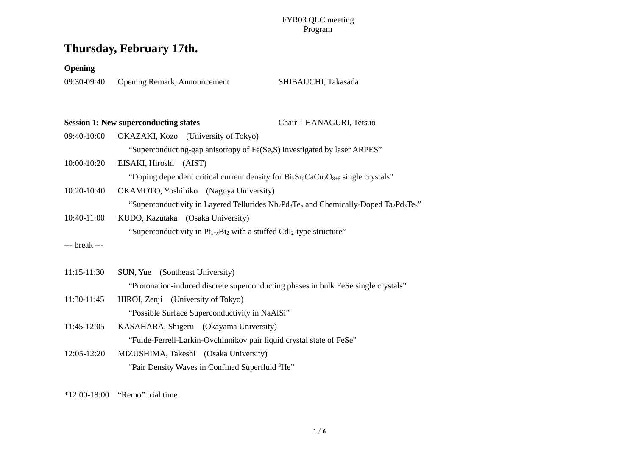## **Thursday, February 17th.**

#### **Opening**

09:30-09:40 Opening Remark, Announcement SHIBAUCHI, Takasada

|               | <b>Session 1: New superconducting states</b> |                                                                                       | Chair: HANAGURI, Tetsuo                                                                                                        |  |
|---------------|----------------------------------------------|---------------------------------------------------------------------------------------|--------------------------------------------------------------------------------------------------------------------------------|--|
| 09:40-10:00   |                                              | OKAZAKI, Kozo (University of Tokyo)                                                   |                                                                                                                                |  |
|               |                                              |                                                                                       | "Superconducting-gap anisotropy of Fe(Se,S) investigated by laser ARPES"                                                       |  |
| 10:00-10:20   | EISAKI, Hiroshi (AIST)                       |                                                                                       |                                                                                                                                |  |
|               |                                              |                                                                                       | "Doping dependent critical current density for $Bi_2Sr_2CaCu_2O_{8+}\delta$ single crystals"                                   |  |
| 10:20-10:40   | OKAMOTO, Yoshihiko (Nagoya University)       |                                                                                       |                                                                                                                                |  |
|               |                                              |                                                                                       | "Superconductivity in Layered Tellurides $Nb_2Pd_3Te_5$ and Chemically-Doped Ta <sub>2</sub> Pd <sub>3</sub> Te <sub>5</sub> " |  |
| 10:40-11:00   | KUDO, Kazutaka (Osaka University)            |                                                                                       |                                                                                                                                |  |
|               |                                              | "Superconductivity in $Pt_{1+x}Bi_2$ with a stuffed CdI <sub>2</sub> -type structure" |                                                                                                                                |  |
| --- break --- |                                              |                                                                                       |                                                                                                                                |  |
|               |                                              |                                                                                       |                                                                                                                                |  |
| $11:15-11:30$ | SUN, Yue (Southeast University)              |                                                                                       |                                                                                                                                |  |
|               |                                              |                                                                                       | "Protonation-induced discrete superconducting phases in bulk FeSe single crystals"                                             |  |
| 11:30-11:45   | HIROI, Zenji (University of Tokyo)           |                                                                                       |                                                                                                                                |  |
|               |                                              | "Possible Surface Superconductivity in NaAlSi"                                        |                                                                                                                                |  |
| 11:45-12:05   |                                              | KASAHARA, Shigeru (Okayama University)                                                |                                                                                                                                |  |
|               |                                              |                                                                                       | "Fulde-Ferrell-Larkin-Ovchinnikov pair liquid crystal state of FeSe"                                                           |  |

12:05-12:20 MIZUSHIMA, Takeshi (Osaka University) "Pair Density Waves in Confined Superfluid <sup>3</sup>He"

\*12:00-18:00 "Remo" trial time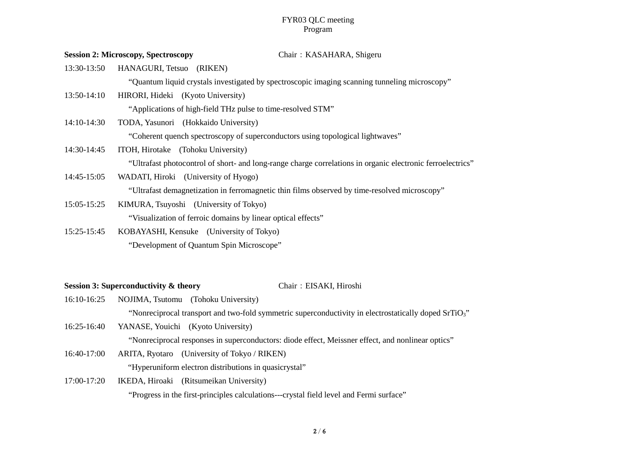|                 | <b>Session 2: Microscopy, Spectroscopy</b><br>Chair: KASAHARA, Shigeru                                     |  |
|-----------------|------------------------------------------------------------------------------------------------------------|--|
| 13:30-13:50     | HANAGURI, Tetsuo (RIKEN)                                                                                   |  |
|                 | "Quantum liquid crystals investigated by spectroscopic imaging scanning tunneling microscopy"              |  |
| 13:50-14:10     | HIRORI, Hideki (Kyoto University)                                                                          |  |
|                 | "Applications of high-field THz pulse to time-resolved STM"                                                |  |
| 14:10-14:30     | TODA, Yasunori (Hokkaido University)                                                                       |  |
|                 | "Coherent quench spectroscopy of superconductors using topological lightwaves"                             |  |
| 14:30-14:45     | ITOH, Hirotake (Tohoku University)                                                                         |  |
|                 | "Ultrafast photocontrol of short- and long-range charge correlations in organic electronic ferroelectrics" |  |
| 14:45-15:05     | WADATI, Hiroki (University of Hyogo)                                                                       |  |
|                 | "Ultrafast demagnetization in ferromagnetic thin films observed by time-resolved microscopy"               |  |
| 15:05-15:25     | KIMURA, Tsuyoshi (University of Tokyo)                                                                     |  |
|                 | "Visualization of ferroic domains by linear optical effects"                                               |  |
| $15.25 - 15.45$ | KOBAYASHI Kensuke (University of Tokyo)                                                                    |  |

15:25-15:45 KOBAYASHI, Kensuke (University of Tokyo) "Development of Quantum Spin Microscope"

### **Session 3: Superconductivity & theory** Chair:EISAKI, Hiroshi

- 16:10-16:25 NOJIMA, Tsutomu (Tohoku University) "Nonreciprocal transport and two-fold symmetric superconductivity in electrostatically doped SrTiO3"
- 16:25-16:40 YANASE, Youichi (Kyoto University) "Nonreciprocal responses in superconductors: diode effect, Meissner effect, and nonlinear optics"
- 16:40-17:00 ARITA, Ryotaro (University of Tokyo / RIKEN) "Hyperuniform electron distributions in quasicrystal"
- 17:00-17:20 IKEDA, Hiroaki (Ritsumeikan University) "Progress in the first-principles calculations---crystal field level and Fermi surface"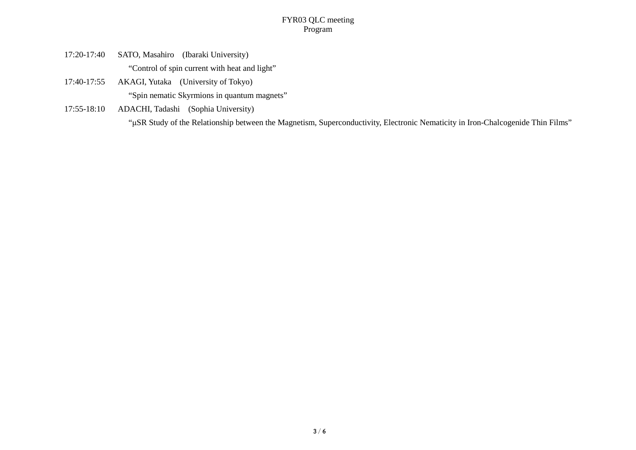- 17:20-17:40 SATO, Masahiro (Ibaraki University) "Control of spin current with heat and light"
- 17:40-17:55 AKAGI, Yutaka (University of Tokyo) "Spin nematic Skyrmions in quantum magnets"
- 17:55-18:10 ADACHI, Tadashi (Sophia University) "μSR Study of the Relationship between the Magnetism, Superconductivity, Electronic Nematicity in Iron-Chalcogenide Thin Films"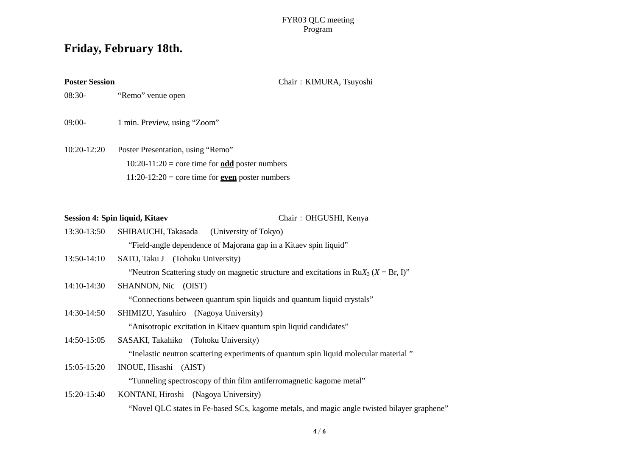## **Friday, February 18th.**

Poster Session **Poster Session Chair: KIMURA, Tsuyoshi** 

08:30- "Remo" venue open

09:00- 1 min. Preview, using "Zoom"

10:20-12:20 Poster Presentation, using "Remo"  $10:20-11:20 = \text{core time}$  for  $\underline{\text{odd}}$  poster numbers 11:20-12:20 = core time for **even** poster numbers

|             | Session 4: Spin liquid, Kitaev<br>Chair: OHGUSHI, Kenya                                     |
|-------------|---------------------------------------------------------------------------------------------|
| 13:30-13:50 | SHIBAUCHI, Takasada<br>(University of Tokyo)                                                |
|             | "Field-angle dependence of Majorana gap in a Kitaev spin liquid"                            |
| 13:50-14:10 | SATO, Taku J (Tohoku University)                                                            |
|             | "Neutron Scattering study on magnetic structure and excitations in $RuX_3$ ( $X = Br$ , I)" |
| 14:10-14:30 | SHANNON, Nic (OIST)                                                                         |
|             | "Connections between quantum spin liquids and quantum liquid crystals"                      |
| 14:30-14:50 | SHIMIZU, Yasuhiro (Nagoya University)                                                       |
|             | "Anisotropic excitation in Kitaev quantum spin liquid candidates"                           |
| 14:50-15:05 | SASAKI, Takahiko (Tohoku University)                                                        |
|             | "Inelastic neutron scattering experiments of quantum spin liquid molecular material"        |
| 15:05-15:20 | INOUE, Hisashi (AIST)                                                                       |
|             | "Tunneling spectroscopy of thin film antiferromagnetic kagome metal"                        |
| 15:20-15:40 | KONTANI, Hiroshi (Nagoya University)                                                        |
|             | "Novel QLC states in Fe-based SCs, kagome metals, and magic angle twisted bilayer gr        |
|             |                                                                                             |

graphene"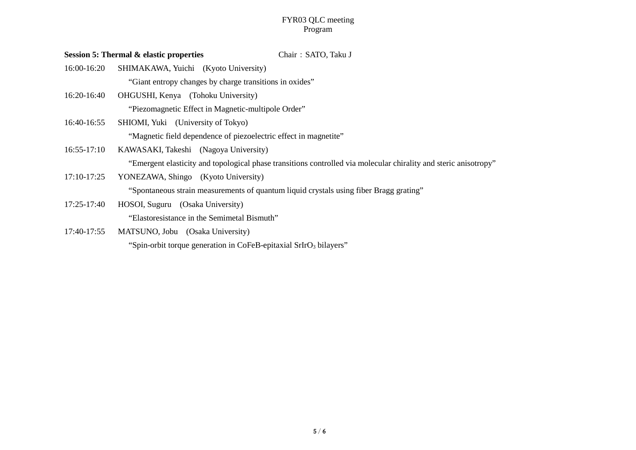|             | <b>Session 5: Thermal &amp; elastic properties</b><br>Chair: SATO, Taku J                                        |
|-------------|------------------------------------------------------------------------------------------------------------------|
| 16:00-16:20 | SHIMAKAWA, Yuichi (Kyoto University)                                                                             |
|             | "Giant entropy changes by charge transitions in oxides"                                                          |
| 16:20-16:40 | OHGUSHI, Kenya (Tohoku University)                                                                               |
|             | "Piezomagnetic Effect in Magnetic-multipole Order"                                                               |
| 16:40-16:55 | SHIOMI, Yuki (University of Tokyo)                                                                               |
|             | "Magnetic field dependence of piezoelectric effect in magnetite"                                                 |
| 16:55-17:10 | KAWASAKI, Takeshi (Nagoya University)                                                                            |
|             | "Emergent elasticity and topological phase transitions controlled via molecular chirality and steric anisotropy" |
| 17:10-17:25 | YONEZAWA, Shingo (Kyoto University)                                                                              |
|             | "Spontaneous strain measurements of quantum liquid crystals using fiber Bragg grating"                           |
| 17:25-17:40 | HOSOI, Suguru (Osaka University)                                                                                 |
|             | "Elastoresistance in the Semimetal Bismuth"                                                                      |
| 17:40-17:55 | MATSUNO, Jobu (Osaka University)                                                                                 |

"Spin-orbit torque generation in CoFeB-epitaxial SrIrO<sub>3</sub> bilayers"